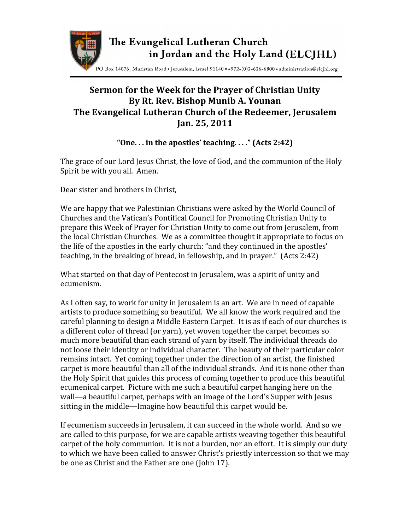

PO Box 14076, Muristan Road · Jerusalem, Israel 91140 · +972-(0)2-626-6800 · administration@elcjhl.org

## **Sermon for the Week for the Prayer of Christian Unity By Rt. Rev. Bishop Munib A. Younan The Evangelical Lutheran Church of the Redeemer, Jerusalem Jan. 25, 2011**

**"One. . . in the apostles' teaching. . . ." (Acts 2:42)**

The grace of our Lord Jesus Christ, the love of God, and the communion of the Holy Spirit
be
with
you
all.

Amen.

Dear
sister
and
brothers
in
Christ,

We are happy that we Palestinian Christians were asked by the World Council of Churches
and
the
Vatican's
Pontifical
Council
for
Promoting
Christian
Unity
to prepare
this
Week
of
Prayer
for
Christian
Unity
to
come
out
from
Jerusalem,
from the
local
Christian
Churches.

We
as
a
committee
thought
it
appropriate
to
focus
on the life of the apostles in the early church: "and they continued in the apostles' teaching,
in
the
breaking
of
bread,
in
fellowship,
and
in
prayer."

(Acts
2:42)

What started on that day of Pentecost in Jerusalem, was a spirit of unity and ecumenism.

As
I
often
say,
to
work
for
unity
in
Jerusalem
is
an
art.

We
are
in
need
of
capable artists
to
produce
something
so
beautiful.

We
all
know
the
work
required
and
the careful planning to design a Middle Eastern Carpet. It is as if each of our churches is a different color of thread (or yarn), yet woven together the carpet becomes so much more beautiful than each strand of varn by itself. The individual threads do not
loose
their
identity
or
individual
character.

The
beauty
of
their
particular
color remains
intact.

Yet
coming
together
under
the
direction
of
an
artist,
the
finished carpet is more beautiful than all of the individual strands. And it is none other than the Holy Spirit that guides this process of coming together to produce this beautiful ecumenical
carpet.

Picture
with
me
such
a
beautiful
carpet
hanging
here
on
the wall—a
beautiful
carpet,
perhaps
with
an
image
of
the
Lord's
Supper
with
Jesus sitting in the middle—Imagine how beautiful this carpet would be.

If ecumenism succeeds in Jerusalem, it can succeed in the whole world. And so we are
called
to
this
purpose,
for
we
are
capable
artists
weaving
together
this
beautiful carpet of the holy communion. It is not a burden, nor an effort. It is simply our duty to which we have been called to answer Christ's priestly intercession so that we may be
one
as
Christ
and
the
Father
are
one
(John
17).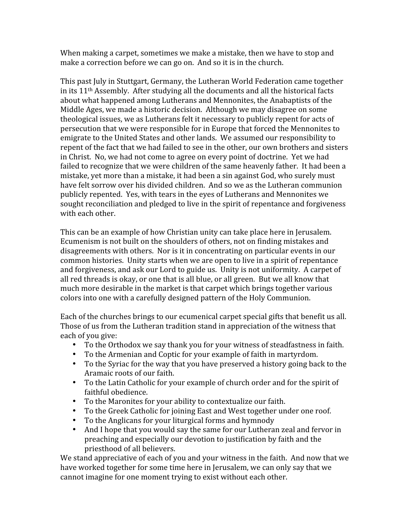When making a carpet, sometimes we make a mistake, then we have to stop and make a correction before we can go on. And so it is in the church.

This
past
July
in
Stuttgart,
Germany,
the
Lutheran
World
Federation
came
together in
its
11th Assembly.

After
studying
all
the
documents
and
all
the
historical
facts about
what
happened
among
Lutherans
and
Mennonites,
the
Anabaptists
of
the Middle Ages, we made a historic decision. Although we may disagree on some theological
issues,
we
as
Lutherans
felt
it
necessary
to
publicly
repent
for
acts
of persecution
that
we
were
responsible
for
in
Europe
that
forced
the
Mennonites
to emigrate to the United States and other lands. We assumed our responsibility to repent of the fact that we had failed to see in the other, our own brothers and sisters in
Christ.

No,
we
had
not
come
to
agree
on
every
point
of
doctrine.

Yet
we
had failed to recognize that we were children of the same heavenly father. It had been a mistake,
yet
more
than
a
mistake,
it
had
been
a
sin
against
God,
who
surely
must have
felt
sorrow
over
his
divided
children.

And
so
we
as
the
Lutheran
communion publicly
repented.

Yes,
with
tears
in
the
eyes
of
Lutherans
and
Mennonites
we sought reconciliation and pledged to live in the spirit of repentance and forgiveness with
each
other.

This can be an example of how Christian unity can take place here in Jerusalem. Ecumenism is not built on the shoulders of others, not on finding mistakes and disagreements with others. Nor is it in concentrating on particular events in our common
histories.

Unity
starts
when
we
are
open
to
live
in
a
spirit
of
repentance and forgiveness, and ask our Lord to guide us. Unity is not uniformity. A carpet of all
red
threads
is
okay,
or
one
that
is
all
blue,
or
all
green.

But
we
all
know
that much more desirable in the market is that carpet which brings together various colors
into
one
with
a
carefully
designed
pattern
of
the
Holy
Communion.

Each of the churches brings to our ecumenical carpet special gifts that benefit us all. Those
of
us
from
the
Lutheran
tradition
stand
in
appreciation
of
the
witness
that each
of
you
give:

- To the Orthodox we say thank you for your witness of steadfastness in faith.
- To the Armenian and Coptic for your example of faith in martyrdom.
- To the Syriac for the way that you have preserved a history going back to the Aramaic
roots
of
our
faith.
- To the Latin Catholic for your example of church order and for the spirit of faithful
obedience.
- To the Maronites for your ability to contextualize our faith.
- To the Greek Catholic for joining East and West together under one roof.
- To the Anglicans for your liturgical forms and hymnody
- And I hope that you would say the same for our Lutheran zeal and fervor in preaching
and
especially
our
devotion
to
justification
by
faith
and
the priesthood
of
all
believers.

We stand appreciative of each of you and your witness in the faith. And now that we have worked together for some time here in Jerusalem, we can only say that we cannot
imagine
for
one
moment
trying
to
exist
without
each
other.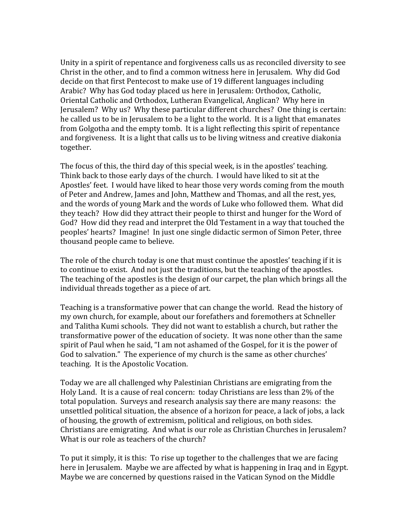Unity in a spirit of repentance and forgiveness calls us as reconciled diversity to see Christ
in
the
other,
and
to
find
a
common
witness
here
in
Jerusalem.

Why
did
God decide
on
that
first
Pentecost
to
make
use
of
19
different
languages
including Arabic?

Why
has
God
today
placed
us
here
in
Jerusalem:
Orthodox,
Catholic, Oriental Catholic and Orthodox. Lutheran Evangelical, Anglican? Why here in Jerusalem?

Why
us?

Why
these
particular
different
churches?

One
thing
is
certain: he called us to be in Jerusalem to be a light to the world. It is a light that emanates from Golgotha and the empty tomb. It is a light reflecting this spirit of repentance and forgiveness. It is a light that calls us to be living witness and creative diakonia together.

The focus of this, the third day of this special week, is in the apostles' teaching. Think back to those early days of the church. I would have liked to sit at the Apostles'
feet.

I
would
have
liked
to
hear
those
very
words
coming
from
the
mouth of Peter and Andrew, James and John, Matthew and Thomas, and all the rest, ves, and
the
words
of
young
Mark
and
the
words
of
Luke
who
followed
them.

What
did they teach? How did they attract their people to thirst and hunger for the Word of God? How did they read and interpret the Old Testament in a way that touched the peoples'
hearts? Imagine!

In
just
one
single
didactic
sermon
of
Simon
Peter,
three thousand
people
came
to
believe.

The role of the church today is one that must continue the apostles' teaching if it is to continue to exist. And not just the traditions, but the teaching of the apostles. The teaching of the apostles is the design of our carpet, the plan which brings all the individual
threads
together
as
a
piece
of
art.

Teaching
is
a
transformative
power
that
can
change
the
world.

Read
the
history
of my
own
church,
for
example,
about
our
forefathers
and
foremothers
at
Schneller and
Talitha
Kumi
schools.

They
did
not
want
to
establish
a
church,
but
rather
the transformative
power
of
the
education
of
society.

It
was
none
other
than
the
same spirit of Paul when he said, "I am not ashamed of the Gospel, for it is the power of God to salvation." The experience of my church is the same as other churches' teaching.

It
is
the
Apostolic
Vocation.

Today we are all challenged why Palestinian Christians are emigrating from the Holy Land. It is a cause of real concern: today Christians are less than 2% of the total population. Surveys and research analysis say there are many reasons: the unsettled political situation, the absence of a horizon for peace, a lack of jobs, a lack of
housing,
the
growth
of
extremism,
political
and
religious,
on
both
sides. Christians
are
emigrating.

And
what
is
our
role
as
Christian
Churches
in
Jerusalem? What is our role as teachers of the church?

To put it simply, it is this: To rise up together to the challenges that we are facing here in Jerusalem. Maybe we are affected by what is happening in Iraq and in Egypt. Maybe we are concerned by questions raised in the Vatican Synod on the Middle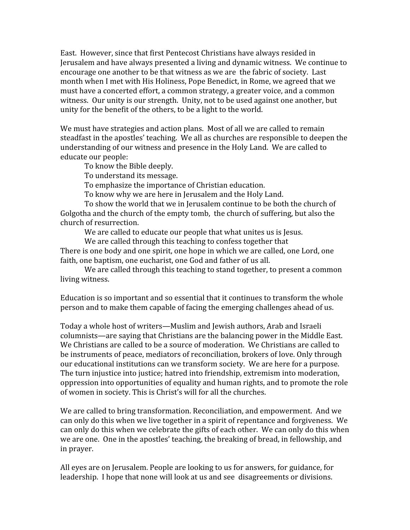East.

However,
since
that
first
Pentecost
Christians
have
always
resided
in Jerusalem and have always presented a living and dynamic witness. We continue to encourage
one
another
to
be
that
witness
as
we
are

the
fabric
of
society.

Last month when I met with His Holiness, Pope Benedict, in Rome, we agreed that we must
have
a
concerted
effort,
a
common
strategy,
a
greater
voice,
and
a
common witness. Our unity is our strength. Unity, not to be used against one another, but unity for the benefit of the others, to be a light to the world.

We must have strategies and action plans. Most of all we are called to remain steadfast in the apostles' teaching. We all as churches are responsible to deepen the understanding of our witness and presence in the Holy Land. We are called to educate
our
people:

To
know
the
Bible
deeply.

To
understand
its
message.

To
emphasize
the
importance
of
Christian
education.

To know why we are here in Jerusalem and the Holy Land.

To show the world that we in Jerusalem continue to be both the church of Golgotha and the church of the empty tomb, the church of suffering, but also the church
of
resurrection.

We are called to educate our people that what unites us is Jesus.

We are called through this teaching to confess together that There is one body and one spirit, one hope in which we are called, one Lord, one faith, one baptism, one eucharist, one God and father of us all.

We are called through this teaching to stand together, to present a common living
witness.

Education
is
so
important
and
so
essential
that
it
continues
to
transform
the
whole person
and
to
make
them
capable
of
facing
the
emerging
challenges
ahead
of
us.

Today
a
whole
host
of
writers—Muslim
and
Jewish
authors,
Arab
and
Israeli columnists—are
saying
that
Christians
are
the
balancing
power
in
the
Middle
East. We Christians are called to be a source of moderation. We Christians are called to be instruments of peace, mediators of reconciliation, brokers of love. Only through our
educational
institutions
can
we
transform
society.

We
are
here
for
a
purpose. The turn injustice into justice; hatred into friendship, extremism into moderation, oppression into opportunities of equality and human rights, and to promote the role of
women
in
society.
This
is
Christ's
will
for
all
the
churches.

We are called to bring transformation. Reconciliation, and empowerment. And we can
only
do
this
when
we
live
together
in
a
spirit
of
repentance
and
forgiveness.

We can
only
do
this
when
we
celebrate
the
gifts
of
each
other.

We
can
only
do
this
when we are one. One in the apostles' teaching, the breaking of bread, in fellowship, and in
prayer.

All
eyes
are
on
Jerusalem.
People
are
looking
to
us
for
answers,
for
guidance,
for leadership. I hope that none will look at us and see disagreements or divisions.